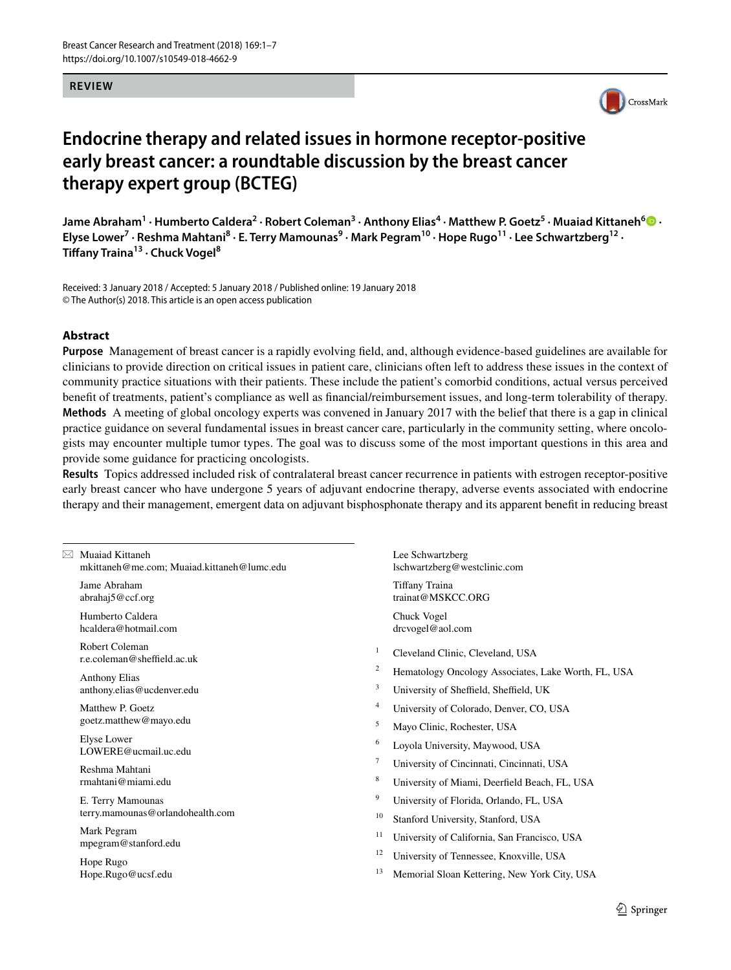#### **REVIEW**



# **Endocrine therapy and related issues in hormone receptor‑positive early breast cancer: a roundtable discussion by the breast cancer therapy expert group (BCTEG)**

 $\lambda$ Jame Abraham<sup>1</sup> · Humberto Caldera<sup>2</sup> · Robert Coleman<sup>3</sup> · Anthony Elias<sup>4</sup> · Matthew P. Goetz<sup>5</sup> · Muaiad Kittaneh<sup>6</sup>  $\bullet$  · **Elyse Lower<sup>7</sup> · Reshma Mahtani8 · E. Terry Mamounas9 · Mark Pegram10 · Hope Rugo11 · Lee Schwartzberg12 · Tifany Traina13 · Chuck Vogel8**

Received: 3 January 2018 / Accepted: 5 January 2018 / Published online: 19 January 2018 © The Author(s) 2018. This article is an open access publication

#### **Abstract**

**Purpose** Management of breast cancer is a rapidly evolving feld, and, although evidence-based guidelines are available for clinicians to provide direction on critical issues in patient care, clinicians often left to address these issues in the context of community practice situations with their patients. These include the patient's comorbid conditions, actual versus perceived beneft of treatments, patient's compliance as well as fnancial/reimbursement issues, and long-term tolerability of therapy. **Methods** A meeting of global oncology experts was convened in January 2017 with the belief that there is a gap in clinical practice guidance on several fundamental issues in breast cancer care, particularly in the community setting, where oncologists may encounter multiple tumor types. The goal was to discuss some of the most important questions in this area and provide some guidance for practicing oncologists.

**Results** Topics addressed included risk of contralateral breast cancer recurrence in patients with estrogen receptor-positive early breast cancer who have undergone 5 years of adjuvant endocrine therapy, adverse events associated with endocrine therapy and their management, emergent data on adjuvant bisphosphonate therapy and its apparent beneft in reducing breast

| $\boxtimes$ Muaiad Kittaneh<br>mkittaneh@me.com; Muaiad.kittaneh@lumc.edu |        | Lee Schwartzberg<br>lschwartzberg@westclinic.com    |
|---------------------------------------------------------------------------|--------|-----------------------------------------------------|
| Jame Abraham<br>abrahaj5@ccf.org                                          |        | Tiffany Traina<br>trainat@MSKCC.ORG                 |
| Humberto Caldera<br>hcaldera@hotmail.com                                  |        | Chuck Vogel<br>drcvogel@aol.com                     |
| Robert Coleman<br>r.e.coleman@sheffield.ac.uk                             | 1      | Cleveland Clinic, Cleveland, USA                    |
| <b>Anthony Elias</b>                                                      | 2      | Hematology Oncology Associates, Lake Worth, FL, USA |
| anthony.elias@ucdenver.edu                                                | 3      | University of Sheffield, Sheffield, UK              |
| Matthew P. Goetz                                                          | 4      | University of Colorado, Denver, CO, USA             |
| goetz.matthew@mayo.edu                                                    | 5      | Mayo Clinic, Rochester, USA                         |
| Elyse Lower<br>LOWERE@ucmail.uc.edu                                       | 6      | Loyola University, Maywood, USA                     |
| Reshma Mahtani                                                            | $\tau$ | University of Cincinnati, Cincinnati, USA           |
| rmahtani@miami.edu                                                        | 8      | University of Miami, Deerfield Beach, FL, USA       |
| E. Terry Mamounas<br>terry.mamounas@orlandohealth.com                     | 9      | University of Florida, Orlando, FL, USA             |
|                                                                           | 10     | Stanford University, Stanford, USA                  |
| Mark Pegram<br>mpegram@stanford.edu                                       | 11     | University of California, San Francisco, USA        |
| Hope Rugo                                                                 | 12     | University of Tennessee, Knoxville, USA             |
| Hope.Rugo@ucsf.edu                                                        | 13     | Memorial Sloan Kettering, New York City, USA        |
|                                                                           |        |                                                     |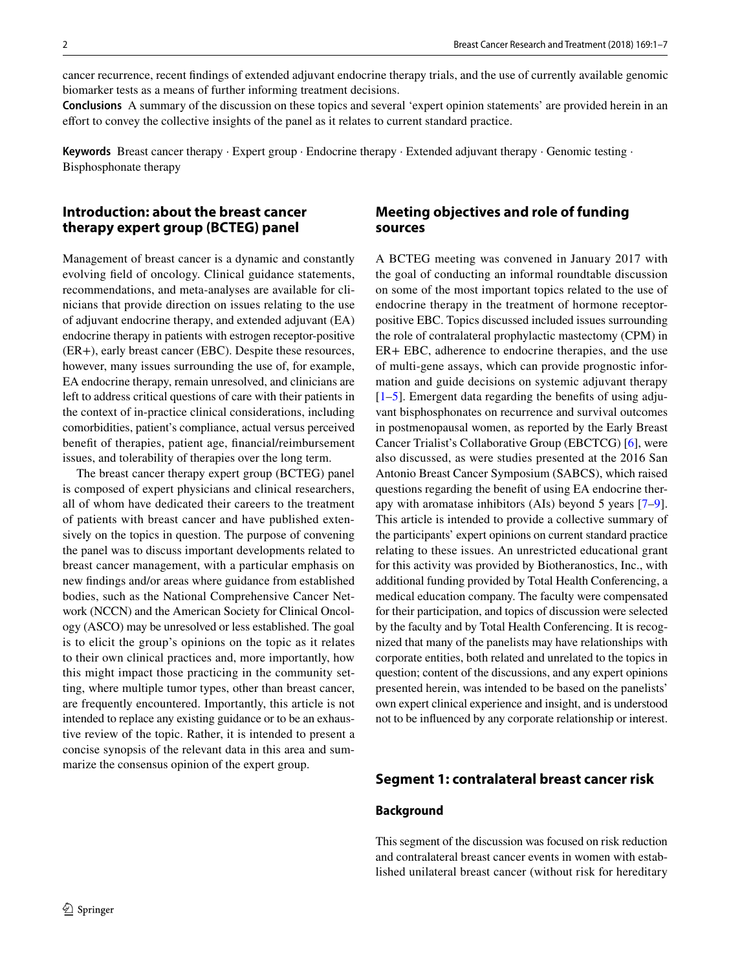cancer recurrence, recent fndings of extended adjuvant endocrine therapy trials, and the use of currently available genomic biomarker tests as a means of further informing treatment decisions.

**Conclusions** A summary of the discussion on these topics and several 'expert opinion statements' are provided herein in an efort to convey the collective insights of the panel as it relates to current standard practice.

**Keywords** Breast cancer therapy · Expert group · Endocrine therapy · Extended adjuvant therapy · Genomic testing · Bisphosphonate therapy

## **Introduction: about the breast cancer therapy expert group (BCTEG) panel**

Management of breast cancer is a dynamic and constantly evolving feld of oncology. Clinical guidance statements, recommendations, and meta-analyses are available for clinicians that provide direction on issues relating to the use of adjuvant endocrine therapy, and extended adjuvant (EA) endocrine therapy in patients with estrogen receptor-positive (ER+), early breast cancer (EBC). Despite these resources, however, many issues surrounding the use of, for example, EA endocrine therapy, remain unresolved, and clinicians are left to address critical questions of care with their patients in the context of in-practice clinical considerations, including comorbidities, patient's compliance, actual versus perceived beneft of therapies, patient age, fnancial/reimbursement issues, and tolerability of therapies over the long term.

The breast cancer therapy expert group (BCTEG) panel is composed of expert physicians and clinical researchers, all of whom have dedicated their careers to the treatment of patients with breast cancer and have published extensively on the topics in question. The purpose of convening the panel was to discuss important developments related to breast cancer management, with a particular emphasis on new fndings and/or areas where guidance from established bodies, such as the National Comprehensive Cancer Network (NCCN) and the American Society for Clinical Oncology (ASCO) may be unresolved or less established. The goal is to elicit the group's opinions on the topic as it relates to their own clinical practices and, more importantly, how this might impact those practicing in the community setting, where multiple tumor types, other than breast cancer, are frequently encountered. Importantly, this article is not intended to replace any existing guidance or to be an exhaustive review of the topic. Rather, it is intended to present a concise synopsis of the relevant data in this area and summarize the consensus opinion of the expert group.

## **Meeting objectives and role of funding sources**

A BCTEG meeting was convened in January 2017 with the goal of conducting an informal roundtable discussion on some of the most important topics related to the use of endocrine therapy in the treatment of hormone receptorpositive EBC. Topics discussed included issues surrounding the role of contralateral prophylactic mastectomy (CPM) in ER+ EBC, adherence to endocrine therapies, and the use of multi-gene assays, which can provide prognostic information and guide decisions on systemic adjuvant therapy  $[1–5]$  $[1–5]$  $[1–5]$ . Emergent data regarding the benefits of using adjuvant bisphosphonates on recurrence and survival outcomes in postmenopausal women, as reported by the Early Breast Cancer Trialist's Collaborative Group (EBCTCG) [[6\]](#page-5-2), were also discussed, as were studies presented at the 2016 San Antonio Breast Cancer Symposium (SABCS), which raised questions regarding the beneft of using EA endocrine therapy with aromatase inhibitors (AIs) beyond 5 years [\[7](#page-5-3)[–9](#page-5-4)]. This article is intended to provide a collective summary of the participants' expert opinions on current standard practice relating to these issues. An unrestricted educational grant for this activity was provided by Biotheranostics, Inc., with additional funding provided by Total Health Conferencing, a medical education company. The faculty were compensated for their participation, and topics of discussion were selected by the faculty and by Total Health Conferencing. It is recognized that many of the panelists may have relationships with corporate entities, both related and unrelated to the topics in question; content of the discussions, and any expert opinions presented herein, was intended to be based on the panelists' own expert clinical experience and insight, and is understood not to be infuenced by any corporate relationship or interest.

#### **Segment 1: contralateral breast cancer risk**

#### **Background**

This segment of the discussion was focused on risk reduction and contralateral breast cancer events in women with established unilateral breast cancer (without risk for hereditary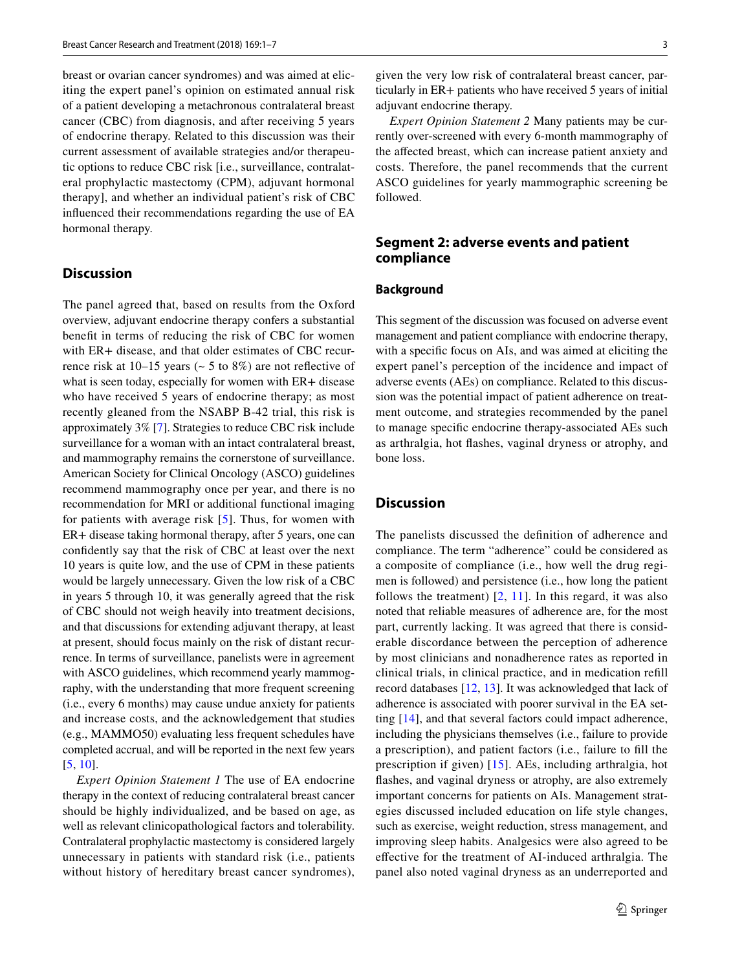breast or ovarian cancer syndromes) and was aimed at eliciting the expert panel's opinion on estimated annual risk of a patient developing a metachronous contralateral breast cancer (CBC) from diagnosis, and after receiving 5 years of endocrine therapy. Related to this discussion was their current assessment of available strategies and/or therapeutic options to reduce CBC risk [i.e., surveillance, contralateral prophylactic mastectomy (CPM), adjuvant hormonal therapy], and whether an individual patient's risk of CBC infuenced their recommendations regarding the use of EA hormonal therapy.

## **Discussion**

The panel agreed that, based on results from the Oxford overview, adjuvant endocrine therapy confers a substantial beneft in terms of reducing the risk of CBC for women with ER+ disease, and that older estimates of CBC recurrence risk at  $10-15$  years ( $\sim$  5 to 8%) are not reflective of what is seen today, especially for women with ER+ disease who have received 5 years of endocrine therapy; as most recently gleaned from the NSABP B-42 trial, this risk is approximately 3% [[7\]](#page-5-3). Strategies to reduce CBC risk include surveillance for a woman with an intact contralateral breast, and mammography remains the cornerstone of surveillance. American Society for Clinical Oncology (ASCO) guidelines recommend mammography once per year, and there is no recommendation for MRI or additional functional imaging for patients with average risk [[5](#page-5-1)]. Thus, for women with ER+ disease taking hormonal therapy, after 5 years, one can confdently say that the risk of CBC at least over the next 10 years is quite low, and the use of CPM in these patients would be largely unnecessary. Given the low risk of a CBC in years 5 through 10, it was generally agreed that the risk of CBC should not weigh heavily into treatment decisions, and that discussions for extending adjuvant therapy, at least at present, should focus mainly on the risk of distant recurrence. In terms of surveillance, panelists were in agreement with ASCO guidelines, which recommend yearly mammography, with the understanding that more frequent screening (i.e., every 6 months) may cause undue anxiety for patients and increase costs, and the acknowledgement that studies (e.g., MAMMO50) evaluating less frequent schedules have completed accrual, and will be reported in the next few years [\[5](#page-5-1), [10\]](#page-5-5).

*Expert Opinion Statement 1* The use of EA endocrine therapy in the context of reducing contralateral breast cancer should be highly individualized, and be based on age, as well as relevant clinicopathological factors and tolerability. Contralateral prophylactic mastectomy is considered largely unnecessary in patients with standard risk (i.e., patients without history of hereditary breast cancer syndromes),

given the very low risk of contralateral breast cancer, particularly in ER+ patients who have received 5 years of initial adjuvant endocrine therapy.

*Expert Opinion Statement 2* Many patients may be currently over-screened with every 6-month mammography of the afected breast, which can increase patient anxiety and costs. Therefore, the panel recommends that the current ASCO guidelines for yearly mammographic screening be followed.

## **Segment 2: adverse events and patient compliance**

#### **Background**

This segment of the discussion was focused on adverse event management and patient compliance with endocrine therapy, with a specific focus on AIs, and was aimed at eliciting the expert panel's perception of the incidence and impact of adverse events (AEs) on compliance. Related to this discussion was the potential impact of patient adherence on treatment outcome, and strategies recommended by the panel to manage specifc endocrine therapy-associated AEs such as arthralgia, hot fashes, vaginal dryness or atrophy, and bone loss.

#### **Discussion**

The panelists discussed the defnition of adherence and compliance. The term "adherence" could be considered as a composite of compliance (i.e., how well the drug regimen is followed) and persistence (i.e., how long the patient follows the treatment)  $[2, 11]$  $[2, 11]$  $[2, 11]$  $[2, 11]$  $[2, 11]$ . In this regard, it was also noted that reliable measures of adherence are, for the most part, currently lacking. It was agreed that there is considerable discordance between the perception of adherence by most clinicians and nonadherence rates as reported in clinical trials, in clinical practice, and in medication refll record databases [\[12](#page-6-0), [13](#page-6-1)]. It was acknowledged that lack of adherence is associated with poorer survival in the EA setting [\[14](#page-6-2)], and that several factors could impact adherence, including the physicians themselves (i.e., failure to provide a prescription), and patient factors (i.e., failure to fll the prescription if given) [[15](#page-6-3)]. AEs, including arthralgia, hot fashes, and vaginal dryness or atrophy, are also extremely important concerns for patients on AIs. Management strategies discussed included education on life style changes, such as exercise, weight reduction, stress management, and improving sleep habits. Analgesics were also agreed to be efective for the treatment of AI-induced arthralgia. The panel also noted vaginal dryness as an underreported and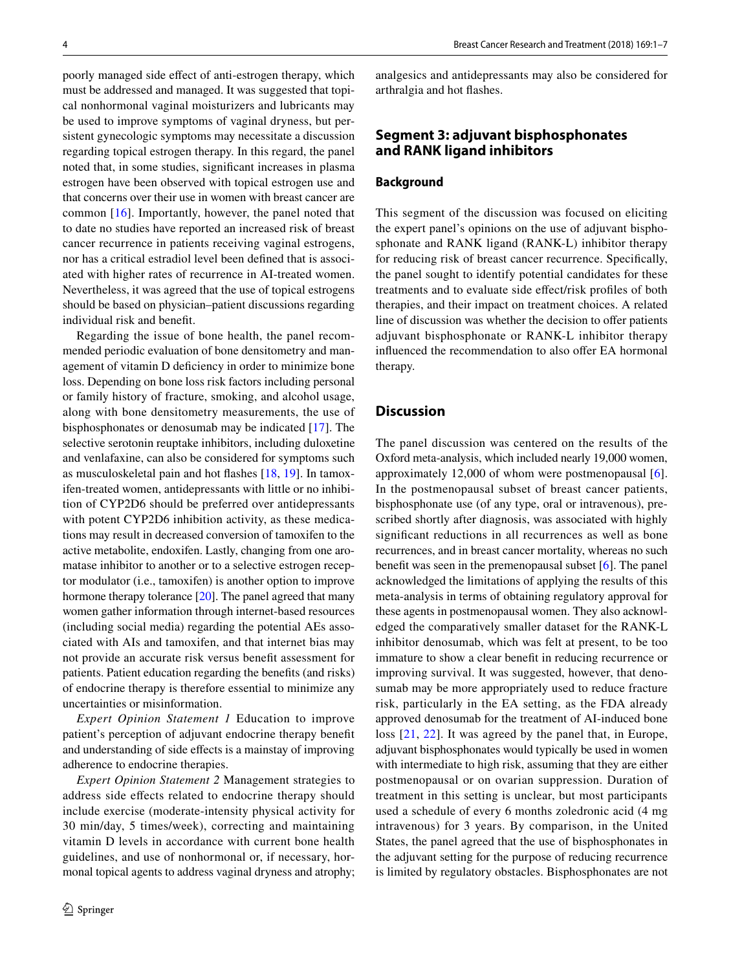poorly managed side efect of anti-estrogen therapy, which must be addressed and managed. It was suggested that topical nonhormonal vaginal moisturizers and lubricants may be used to improve symptoms of vaginal dryness, but persistent gynecologic symptoms may necessitate a discussion regarding topical estrogen therapy. In this regard, the panel noted that, in some studies, signifcant increases in plasma estrogen have been observed with topical estrogen use and that concerns over their use in women with breast cancer are common [\[16\]](#page-6-4). Importantly, however, the panel noted that to date no studies have reported an increased risk of breast cancer recurrence in patients receiving vaginal estrogens, nor has a critical estradiol level been defned that is associated with higher rates of recurrence in AI-treated women. Nevertheless, it was agreed that the use of topical estrogens should be based on physician–patient discussions regarding individual risk and beneft.

Regarding the issue of bone health, the panel recommended periodic evaluation of bone densitometry and management of vitamin D defciency in order to minimize bone loss. Depending on bone loss risk factors including personal or family history of fracture, smoking, and alcohol usage, along with bone densitometry measurements, the use of bisphosphonates or denosumab may be indicated [[17\]](#page-6-5). The selective serotonin reuptake inhibitors, including duloxetine and venlafaxine, can also be considered for symptoms such as musculoskeletal pain and hot fashes [[18,](#page-6-6) [19](#page-6-7)]. In tamoxifen-treated women, antidepressants with little or no inhibition of CYP2D6 should be preferred over antidepressants with potent CYP2D6 inhibition activity, as these medications may result in decreased conversion of tamoxifen to the active metabolite, endoxifen. Lastly, changing from one aromatase inhibitor to another or to a selective estrogen receptor modulator (i.e., tamoxifen) is another option to improve hormone therapy tolerance [\[20](#page-6-8)]. The panel agreed that many women gather information through internet-based resources (including social media) regarding the potential AEs associated with AIs and tamoxifen, and that internet bias may not provide an accurate risk versus beneft assessment for patients. Patient education regarding the benefts (and risks) of endocrine therapy is therefore essential to minimize any uncertainties or misinformation.

*Expert Opinion Statement 1* Education to improve patient's perception of adjuvant endocrine therapy beneft and understanding of side efects is a mainstay of improving adherence to endocrine therapies.

*Expert Opinion Statement 2* Management strategies to address side efects related to endocrine therapy should include exercise (moderate-intensity physical activity for 30 min/day, 5 times/week), correcting and maintaining vitamin D levels in accordance with current bone health guidelines, and use of nonhormonal or, if necessary, hormonal topical agents to address vaginal dryness and atrophy; analgesics and antidepressants may also be considered for arthralgia and hot fashes.

### **Segment 3: adjuvant bisphosphonates and RANK ligand inhibitors**

#### **Background**

This segment of the discussion was focused on eliciting the expert panel's opinions on the use of adjuvant bisphosphonate and RANK ligand (RANK-L) inhibitor therapy for reducing risk of breast cancer recurrence. Specifcally, the panel sought to identify potential candidates for these treatments and to evaluate side efect/risk profles of both therapies, and their impact on treatment choices. A related line of discussion was whether the decision to offer patients adjuvant bisphosphonate or RANK-L inhibitor therapy influenced the recommendation to also offer EA hormonal therapy.

#### **Discussion**

The panel discussion was centered on the results of the Oxford meta-analysis, which included nearly 19,000 women, approximately 12,000 of whom were postmenopausal [\[6](#page-5-2)]. In the postmenopausal subset of breast cancer patients, bisphosphonate use (of any type, oral or intravenous), prescribed shortly after diagnosis, was associated with highly signifcant reductions in all recurrences as well as bone recurrences, and in breast cancer mortality, whereas no such beneft was seen in the premenopausal subset [[6\]](#page-5-2). The panel acknowledged the limitations of applying the results of this meta-analysis in terms of obtaining regulatory approval for these agents in postmenopausal women. They also acknowledged the comparatively smaller dataset for the RANK-L inhibitor denosumab, which was felt at present, to be too immature to show a clear beneft in reducing recurrence or improving survival. It was suggested, however, that denosumab may be more appropriately used to reduce fracture risk, particularly in the EA setting, as the FDA already approved denosumab for the treatment of AI-induced bone loss [[21](#page-6-9), [22\]](#page-6-10). It was agreed by the panel that, in Europe, adjuvant bisphosphonates would typically be used in women with intermediate to high risk, assuming that they are either postmenopausal or on ovarian suppression. Duration of treatment in this setting is unclear, but most participants used a schedule of every 6 months zoledronic acid (4 mg intravenous) for 3 years. By comparison, in the United States, the panel agreed that the use of bisphosphonates in the adjuvant setting for the purpose of reducing recurrence is limited by regulatory obstacles. Bisphosphonates are not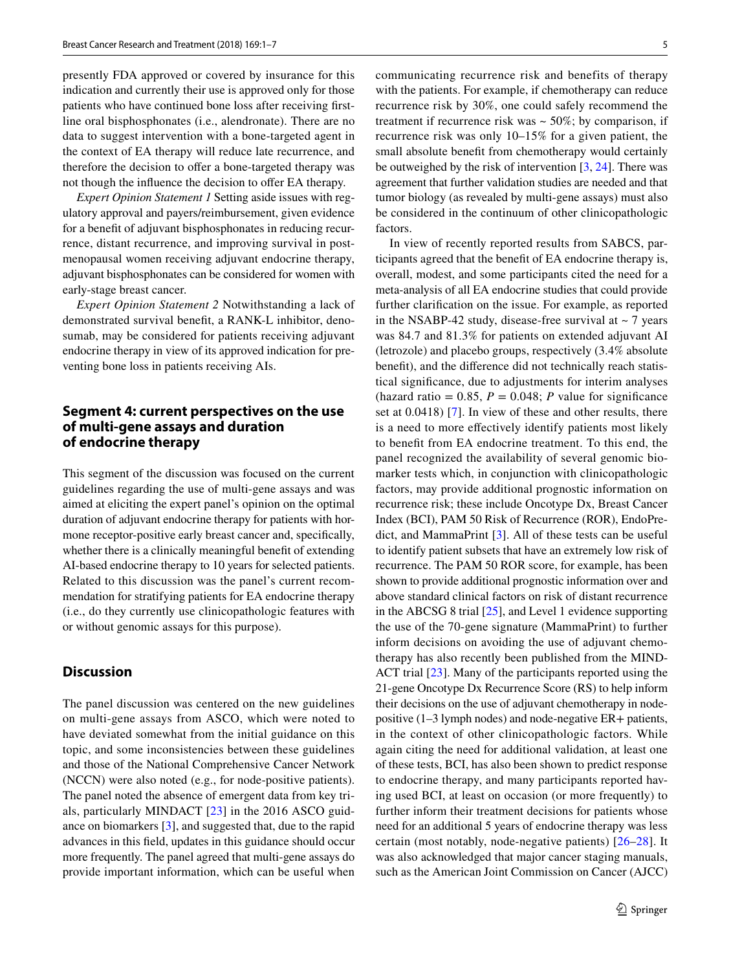presently FDA approved or covered by insurance for this indication and currently their use is approved only for those patients who have continued bone loss after receiving frstline oral bisphosphonates (i.e., alendronate). There are no data to suggest intervention with a bone-targeted agent in the context of EA therapy will reduce late recurrence, and therefore the decision to offer a bone-targeted therapy was not though the influence the decision to offer EA therapy.

*Expert Opinion Statement 1* Setting aside issues with regulatory approval and payers/reimbursement, given evidence for a beneft of adjuvant bisphosphonates in reducing recurrence, distant recurrence, and improving survival in postmenopausal women receiving adjuvant endocrine therapy, adjuvant bisphosphonates can be considered for women with early-stage breast cancer.

*Expert Opinion Statement 2* Notwithstanding a lack of demonstrated survival beneft, a RANK-L inhibitor, denosumab, may be considered for patients receiving adjuvant endocrine therapy in view of its approved indication for preventing bone loss in patients receiving AIs.

### **Segment 4: current perspectives on the use of multi‑gene assays and duration of endocrine therapy**

This segment of the discussion was focused on the current guidelines regarding the use of multi-gene assays and was aimed at eliciting the expert panel's opinion on the optimal duration of adjuvant endocrine therapy for patients with hormone receptor-positive early breast cancer and, specifcally, whether there is a clinically meaningful beneft of extending AI-based endocrine therapy to 10 years for selected patients. Related to this discussion was the panel's current recommendation for stratifying patients for EA endocrine therapy (i.e., do they currently use clinicopathologic features with or without genomic assays for this purpose).

## **Discussion**

The panel discussion was centered on the new guidelines on multi-gene assays from ASCO, which were noted to have deviated somewhat from the initial guidance on this topic, and some inconsistencies between these guidelines and those of the National Comprehensive Cancer Network (NCCN) were also noted (e.g., for node-positive patients). The panel noted the absence of emergent data from key trials, particularly MINDACT [\[23\]](#page-6-11) in the 2016 ASCO guidance on biomarkers [[3\]](#page-5-8), and suggested that, due to the rapid advances in this feld, updates in this guidance should occur more frequently. The panel agreed that multi-gene assays do provide important information, which can be useful when communicating recurrence risk and benefits of therapy with the patients. For example, if chemotherapy can reduce recurrence risk by 30%, one could safely recommend the treatment if recurrence risk was  $\sim$  50%; by comparison, if recurrence risk was only 10–15% for a given patient, the small absolute beneft from chemotherapy would certainly be outweighed by the risk of intervention [\[3](#page-5-8), [24](#page-6-12)]. There was agreement that further validation studies are needed and that tumor biology (as revealed by multi-gene assays) must also be considered in the continuum of other clinicopathologic factors.

In view of recently reported results from SABCS, participants agreed that the beneft of EA endocrine therapy is, overall, modest, and some participants cited the need for a meta-analysis of all EA endocrine studies that could provide further clarifcation on the issue. For example, as reported in the NSABP-42 study, disease-free survival at  $\sim$  7 years was 84.7 and 81.3% for patients on extended adjuvant AI (letrozole) and placebo groups, respectively (3.4% absolute beneft), and the diference did not technically reach statistical signifcance, due to adjustments for interim analyses (hazard ratio  $= 0.85$ ,  $P = 0.048$ ; *P* value for significance set at 0.0418) [[7](#page-5-3)]. In view of these and other results, there is a need to more efectively identify patients most likely to beneft from EA endocrine treatment. To this end, the panel recognized the availability of several genomic biomarker tests which, in conjunction with clinicopathologic factors, may provide additional prognostic information on recurrence risk; these include Oncotype Dx, Breast Cancer Index (BCI), PAM 50 Risk of Recurrence (ROR), EndoPredict, and MammaPrint [\[3](#page-5-8)]. All of these tests can be useful to identify patient subsets that have an extremely low risk of recurrence. The PAM 50 ROR score, for example, has been shown to provide additional prognostic information over and above standard clinical factors on risk of distant recurrence in the ABCSG 8 trial [\[25](#page-6-13)], and Level 1 evidence supporting the use of the 70-gene signature (MammaPrint) to further inform decisions on avoiding the use of adjuvant chemotherapy has also recently been published from the MIND-ACT trial [[23](#page-6-11)]. Many of the participants reported using the 21-gene Oncotype Dx Recurrence Score (RS) to help inform their decisions on the use of adjuvant chemotherapy in nodepositive (1–3 lymph nodes) and node-negative ER+ patients, in the context of other clinicopathologic factors. While again citing the need for additional validation, at least one of these tests, BCI, has also been shown to predict response to endocrine therapy, and many participants reported having used BCI, at least on occasion (or more frequently) to further inform their treatment decisions for patients whose need for an additional 5 years of endocrine therapy was less certain (most notably, node-negative patients) [\[26](#page-6-14)–[28\]](#page-6-15). It was also acknowledged that major cancer staging manuals, such as the American Joint Commission on Cancer (AJCC)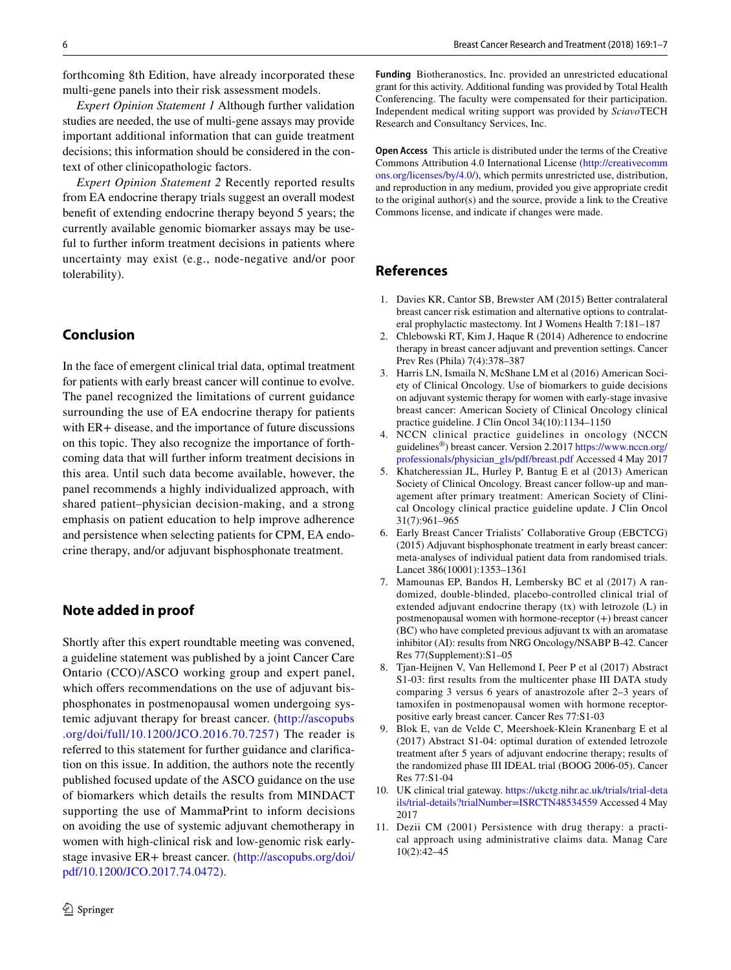forthcoming 8th Edition, have already incorporated these multi-gene panels into their risk assessment models.

*Expert Opinion Statement 1* Although further validation studies are needed, the use of multi-gene assays may provide important additional information that can guide treatment decisions; this information should be considered in the context of other clinicopathologic factors.

*Expert Opinion Statement 2* Recently reported results from EA endocrine therapy trials suggest an overall modest beneft of extending endocrine therapy beyond 5 years; the currently available genomic biomarker assays may be useful to further inform treatment decisions in patients where uncertainty may exist (e.g., node-negative and/or poor tolerability).

## **Conclusion**

In the face of emergent clinical trial data, optimal treatment for patients with early breast cancer will continue to evolve. The panel recognized the limitations of current guidance surrounding the use of EA endocrine therapy for patients with ER+ disease, and the importance of future discussions on this topic. They also recognize the importance of forthcoming data that will further inform treatment decisions in this area. Until such data become available, however, the panel recommends a highly individualized approach, with shared patient–physician decision-making, and a strong emphasis on patient education to help improve adherence and persistence when selecting patients for CPM, EA endocrine therapy, and/or adjuvant bisphosphonate treatment.

#### **Note added in proof**

Shortly after this expert roundtable meeting was convened, a guideline statement was published by a joint Cancer Care Ontario (CCO)/ASCO working group and expert panel, which offers recommendations on the use of adjuvant bisphosphonates in postmenopausal women undergoing systemic adjuvant therapy for breast cancer. ([http://ascopubs](http://ascopubs.org/doi/full/10.1200/JCO.2016.70.7257) [.org/doi/full/10.1200/JCO.2016.70.7257\)](http://ascopubs.org/doi/full/10.1200/JCO.2016.70.7257) The reader is referred to this statement for further guidance and clarifcation on this issue. In addition, the authors note the recently published focused update of the ASCO guidance on the use of biomarkers which details the results from MINDACT supporting the use of MammaPrint to inform decisions on avoiding the use of systemic adjuvant chemotherapy in women with high-clinical risk and low-genomic risk earlystage invasive ER+ breast cancer. [\(http://ascopubs.org/doi/](http://ascopubs.org/doi/pdf/10.1200/JCO.2017.74.0472) [pdf/10.1200/JCO.2017.74.0472\)](http://ascopubs.org/doi/pdf/10.1200/JCO.2017.74.0472).

**Funding** Biotheranostics, Inc. provided an unrestricted educational grant for this activity. Additional funding was provided by Total Health Conferencing. The faculty were compensated for their participation. Independent medical writing support was provided by *Sciavo*TECH Research and Consultancy Services, Inc.

**Open Access** This article is distributed under the terms of the Creative Commons Attribution 4.0 International License [\(http://creativecomm](http://creativecommons.org/licenses/by/4.0/) [ons.org/licenses/by/4.0/](http://creativecommons.org/licenses/by/4.0/)), which permits unrestricted use, distribution, and reproduction in any medium, provided you give appropriate credit to the original author(s) and the source, provide a link to the Creative Commons license, and indicate if changes were made.

#### **References**

- <span id="page-5-0"></span>1. Davies KR, Cantor SB, Brewster AM (2015) Better contralateral breast cancer risk estimation and alternative options to contralateral prophylactic mastectomy. Int J Womens Health 7:181–187
- <span id="page-5-6"></span>2. Chlebowski RT, Kim J, Haque R (2014) Adherence to endocrine therapy in breast cancer adjuvant and prevention settings. Cancer Prev Res (Phila) 7(4):378–387
- <span id="page-5-8"></span>3. Harris LN, Ismaila N, McShane LM et al (2016) American Society of Clinical Oncology. Use of biomarkers to guide decisions on adjuvant systemic therapy for women with early-stage invasive breast cancer: American Society of Clinical Oncology clinical practice guideline. J Clin Oncol 34(10):1134–1150
- 4. NCCN clinical practice guidelines in oncology (NCCN guidelines®) breast cancer. Version 2.2017 [https://www.nccn.org/](https://www.nccn.org/professionals/physician_gls/pdf/breast.pdf) [professionals/physician\\_gls/pdf/breast.pdf](https://www.nccn.org/professionals/physician_gls/pdf/breast.pdf) Accessed 4 May 2017
- <span id="page-5-1"></span>5. Khatcheressian JL, Hurley P, Bantug E et al (2013) American Society of Clinical Oncology. Breast cancer follow-up and management after primary treatment: American Society of Clinical Oncology clinical practice guideline update. J Clin Oncol 31(7):961–965
- <span id="page-5-2"></span>6. Early Breast Cancer Trialists' Collaborative Group (EBCTCG) (2015) Adjuvant bisphosphonate treatment in early breast cancer: meta-analyses of individual patient data from randomised trials. Lancet 386(10001):1353–1361
- <span id="page-5-3"></span>7. Mamounas EP, Bandos H, Lembersky BC et al (2017) A randomized, double-blinded, placebo-controlled clinical trial of extended adjuvant endocrine therapy (tx) with letrozole (L) in postmenopausal women with hormone-receptor (+) breast cancer (BC) who have completed previous adjuvant tx with an aromatase inhibitor (AI): results from NRG Oncology/NSABP B-42. Cancer Res 77(Supplement):S1–05
- 8. Tjan-Heijnen V, Van Hellemond I, Peer P et al (2017) Abstract S1-03: frst results from the multicenter phase III DATA study comparing 3 versus 6 years of anastrozole after 2–3 years of tamoxifen in postmenopausal women with hormone receptorpositive early breast cancer. Cancer Res 77:S1-03
- <span id="page-5-4"></span>9. Blok E, van de Velde C, Meershoek-Klein Kranenbarg E et al (2017) Abstract S1-04: optimal duration of extended letrozole treatment after 5 years of adjuvant endocrine therapy; results of the randomized phase III IDEAL trial (BOOG 2006-05). Cancer Res 77:S1-04
- <span id="page-5-5"></span>10. UK clinical trial gateway. [https://ukctg.nihr.ac.uk/trials/trial-deta](https://ukctg.nihr.ac.uk/trials/trial-details/trial-details%3ftrialNumber%3dISRCTN48534559) [ils/trial-details?trialNumber=ISRCTN48534559](https://ukctg.nihr.ac.uk/trials/trial-details/trial-details%3ftrialNumber%3dISRCTN48534559) Accessed 4 May 2017
- <span id="page-5-7"></span>11. Dezii CM (2001) Persistence with drug therapy: a practical approach using administrative claims data. Manag Care 10(2):42–45